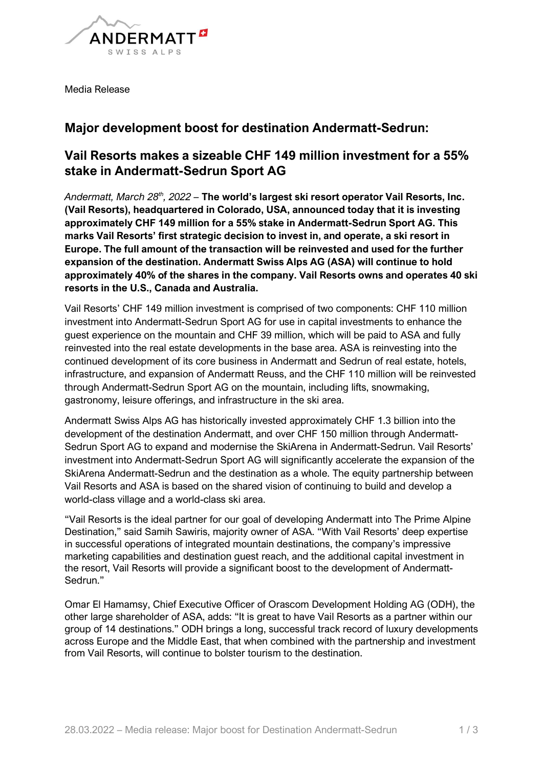

Media Release

# Major development boost for destination Andermatt-Sedrun:

## Vail Resorts makes a sizeable CHF 149 million investment for a 55% stake in Andermatt-Sedrun Sport AG

Andermatt. March 28th, 2022 - The world's largest ski resort operator Vail Resorts, Inc. (Vail Resorts), headquartered in Colorado, USA, announced today that it is investing approximately CHF 149 million for a 55% stake in Andermatt-Sedrun Sport AG. This marks Vail Resorts' first strategic decision to invest in, and operate, a ski resort in Europe. The full amount of the transaction will be reinvested and used for the further expansion of the destination. Andermatt Swiss Alps AG (ASA) will continue to hold approximately 40% of the shares in the company. Vail Resorts owns and operates 40 ski resorts in the U.S., Canada and Australia.

Vail Resorts' CHF 149 million investment is comprised of two components: CHF 110 million investment into Andermatt-Sedrun Sport AG for use in capital investments to enhance the guest experience on the mountain and CHF 39 million, which will be paid to ASA and fully reinvested into the real estate developments in the base area. ASA is reinvesting into the continued development of its core business in Andermatt and Sedrun of real estate, hotels, infrastructure, and expansion of Andermatt Reuss, and the CHF 110 million will be reinvested through Andermatt-Sedrun Sport AG on the mountain, including lifts, snowmaking, gastronomy, leisure offerings, and infrastructure in the ski area.

Andermatt Swiss Alps AG has historically invested approximately CHF 1.3 billion into the development of the destination Andermatt, and over CHF 150 million through Andermatt-Sedrun Sport AG to expand and modernise the SkiArena in Andermatt-Sedrun. Vail Resorts' investment into Andermatt-Sedrun Sport AG will significantly accelerate the expansion of the SkiArena Andermatt-Sedrun and the destination as a whole. The equity partnership between Vail Resorts and ASA is based on the shared vision of continuing to build and develop a world-class village and a world-class ski area.

"Vail Resorts is the ideal partner for our goal of developing Andermatt into The Prime Alpine Destination," said Samih Sawiris, majority owner of ASA. "With Vail Resorts' deep expertise in successful operations of integrated mountain destinations, the company's impressive marketing capabilities and destination guest reach, and the additional capital investment in the resort, Vail Resorts will provide a significant boost to the development of Andermatt-Sedrun."

Omar El Hamamsy, Chief Executive Officer of Orascom Development Holding AG (ODH), the other large shareholder of ASA, adds: "It is great to have Vail Resorts as a partner within our group of 14 destinations." ODH brings a long, successful track record of luxury developments across Europe and the Middle East, that when combined with the partnership and investment from Vail Resorts, will continue to bolster tourism to the destination.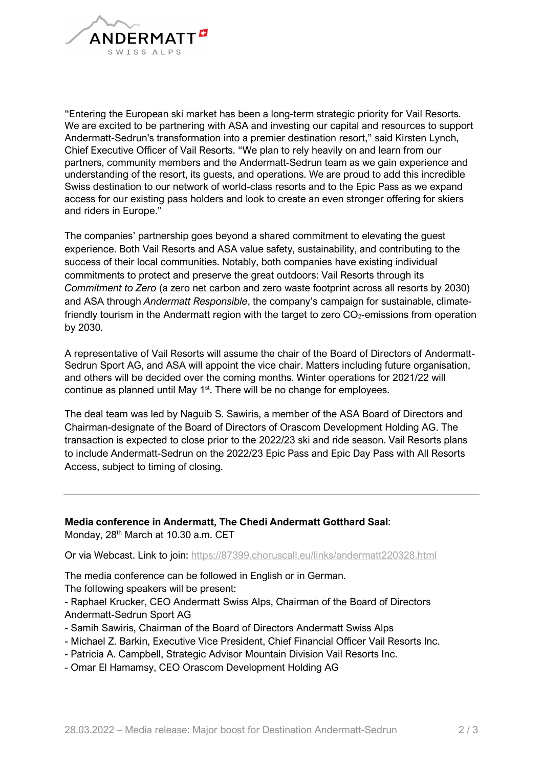

"Entering the European ski market has been a long-term strategic priority for Vail Resorts. We are excited to be partnering with ASA and investing our capital and resources to support Andermatt-Sedrun's transformation into a premier destination resort," said Kirsten Lynch, Chief Executive Officer of Vail Resorts. "We plan to rely heavily on and learn from our partners, community members and the Andermatt-Sedrun team as we gain experience and understanding of the resort, its guests, and operations. We are proud to add this incredible Swiss destination to our network of world-class resorts and to the Epic Pass as we expand access for our existing pass holders and look to create an even stronger offering for skiers and riders in Europe."

The companies' partnership goes beyond a shared commitment to elevating the guest experience. Both Vail Resorts and ASA value safety, sustainability, and contributing to the success of their local communities. Notably, both companies have existing individual commitments to protect and preserve the great outdoors: Vail Resorts through its Commitment to Zero (a zero net carbon and zero waste footprint across all resorts by 2030) and ASA through *Andermatt Responsible*, the company's campaign for sustainable, climatefriendly tourism in the Andermatt region with the target to zero  $CO<sub>2</sub>$ -emissions from operation by 2030.

A representative of Vail Resorts will assume the chair of the Board of Directors of Andermatt-Sedrun Sport AG, and ASA will appoint the vice chair. Matters including future organisation, and others will be decided over the coming months. Winter operations for 2021/22 will continue as planned until May 1<sup>st</sup>. There will be no change for employees.

The deal team was led by Naguib S. Sawiris, a member of the ASA Board of Directors and Chairman-designate of the Board of Directors of Orascom Development Holding AG. The transaction is expected to close prior to the 2022/23 ski and ride season. Vail Resorts plans to include Andermatt-Sedrun on the 2022/23 Epic Pass and Epic Day Pass with All Resorts Access, subject to timing of closing.

Media conference in Andermatt, The Chedi Andermatt Gotthard Saal: Monday, 28<sup>th</sup> March at 10.30 a.m. CET

Or via Webcast. Link to join: https://87399.choruscall.eu/links/andermatt220328.html

The media conference can be followed in English or in German. The following speakers will be present:

- Raphael Krucker, CEO Andermatt Swiss Alps, Chairman of the Board of Directors Andermatt-Sedrun Sport AG

- Samih Sawiris, Chairman of the Board of Directors Andermatt Swiss Alps
- Michael Z. Barkin, Executive Vice President, Chief Financial Officer Vail Resorts Inc.
- Patricia A. Campbell, Strategic Advisor Mountain Division Vail Resorts Inc.
- Omar El Hamamsy, CEO Orascom Development Holding AG